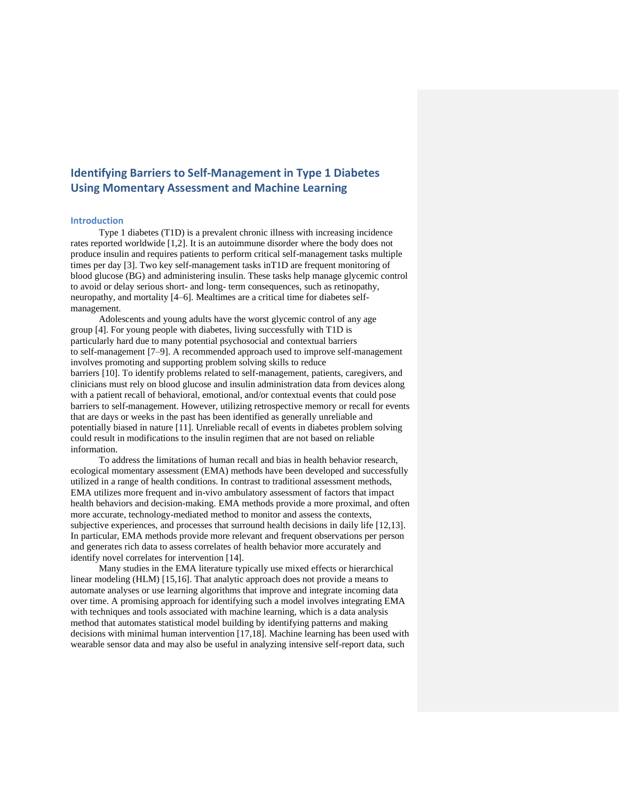# **Identifying Barriers to Self-Management in Type 1 Diabetes Using Momentary Assessment and Machine Learning**

# **Introduction**

Type 1 diabetes (T1D) is a prevalent chronic illness with increasing incidence rates reported worldwide [1,2]. It is an autoimmune disorder where the body does not produce insulin and requires patients to perform critical self-management tasks multiple times per day [3]. Two key self-management tasks inT1D are frequent monitoring of blood glucose (BG) and administering insulin. These tasks help manage glycemic control to avoid or delay serious short- and long- term consequences, such as retinopathy, neuropathy, and mortality [4–6]. Mealtimes are a critical time for diabetes selfmanagement.

Adolescents and young adults have the worst glycemic control of any age group [4]. For young people with diabetes, living successfully with T1D is particularly hard due to many potential psychosocial and contextual barriers to self-management [7–9]. A recommended approach used to improve self-management involves promoting and supporting problem solving skills to reduce barriers [10]. To identify problems related to self-management, patients, caregivers, and clinicians must rely on blood glucose and insulin administration data from devices along with a patient recall of behavioral, emotional, and/or contextual events that could pose barriers to self-management. However, utilizing retrospective memory or recall for events that are days or weeks in the past has been identified as generally unreliable and potentially biased in nature [11]. Unreliable recall of events in diabetes problem solving could result in modifications to the insulin regimen that are not based on reliable information.

To address the limitations of human recall and bias in health behavior research, ecological momentary assessment (EMA) methods have been developed and successfully utilized in a range of health conditions. In contrast to traditional assessment methods, EMA utilizes more frequent and in-vivo ambulatory assessment of factors that impact health behaviors and decision-making. EMA methods provide a more proximal, and often more accurate, technology-mediated method to monitor and assess the contexts, subjective experiences, and processes that surround health decisions in daily life [12,13]. In particular, EMA methods provide more relevant and frequent observations per person and generates rich data to assess correlates of health behavior more accurately and identify novel correlates for intervention [14].

Many studies in the EMA literature typically use mixed effects or hierarchical linear modeling (HLM) [15,16]. That analytic approach does not provide a means to automate analyses or use learning algorithms that improve and integrate incoming data over time. A promising approach for identifying such a model involves integrating EMA with techniques and tools associated with machine learning, which is a data analysis method that automates statistical model building by identifying patterns and making decisions with minimal human intervention [17,18]. Machine learning has been used with wearable sensor data and may also be useful in analyzing intensive self-report data, such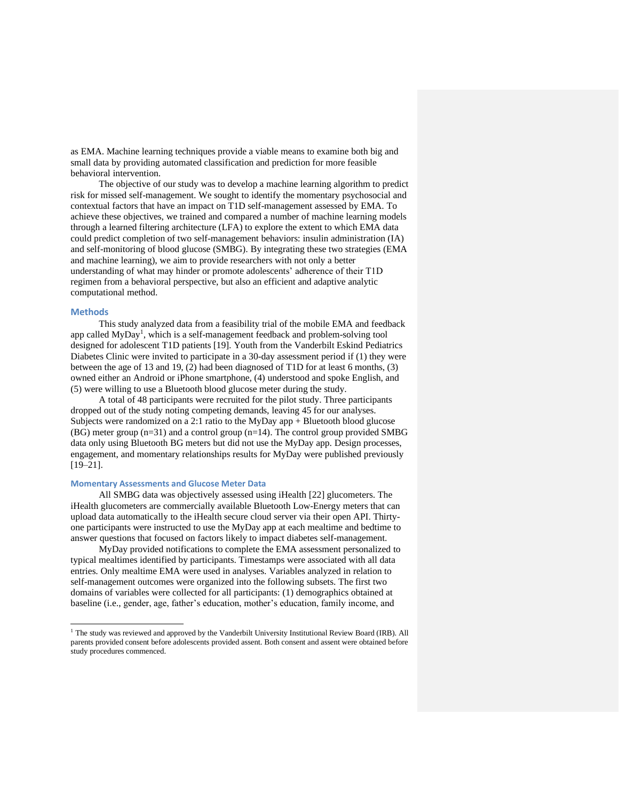as EMA. Machine learning techniques provide a viable means to examine both big and small data by providing automated classification and prediction for more feasible behavioral intervention.

The objective of our study was to develop a machine learning algorithm to predict risk for missed self-management. We sought to identify the momentary psychosocial and contextual factors that have an impact on T1D self-management assessed by EMA. To achieve these objectives, we trained and compared a number of machine learning models through a learned filtering architecture (LFA) to explore the extent to which EMA data could predict completion of two self-management behaviors: insulin administration (IA) and self-monitoring of blood glucose (SMBG). By integrating these two strategies (EMA and machine learning), we aim to provide researchers with not only a better understanding of what may hinder or promote adolescents' adherence of their T1D regimen from a behavioral perspective, but also an efficient and adaptive analytic computational method.

## **Methods**

This study analyzed data from a feasibility trial of the mobile EMA and feedback app called  $MyDay<sup>1</sup>$ , which is a self-management feedback and problem-solving tool designed for adolescent T1D patients [19]. Youth from the Vanderbilt Eskind Pediatrics Diabetes Clinic were invited to participate in a 30-day assessment period if (1) they were between the age of 13 and 19,  $(2)$  had been diagnosed of T1D for at least 6 months, (3) owned either an Android or iPhone smartphone, (4) understood and spoke English, and (5) were willing to use a Bluetooth blood glucose meter during the study.

A total of 48 participants were recruited for the pilot study. Three participants dropped out of the study noting competing demands, leaving 45 for our analyses. Subjects were randomized on a 2:1 ratio to the MyDay app + Bluetooth blood glucose  $(BG)$  meter group  $(n=31)$  and a control group  $(n=14)$ . The control group provided SMBG data only using Bluetooth BG meters but did not use the MyDay app. Design processes, engagement, and momentary relationships results for MyDay were published previously  $[19-21]$ .

# **Momentary Assessments and Glucose Meter Data**

All SMBG data was objectively assessed using iHealth [22] glucometers. The iHealth glucometers are commercially available Bluetooth Low-Energy meters that can upload data automatically to the iHealth secure cloud server via their open API. Thirtyone participants were instructed to use the MyDay app at each mealtime and bedtime to answer questions that focused on factors likely to impact diabetes self-management.

MyDay provided notifications to complete the EMA assessment personalized to typical mealtimes identified by participants. Timestamps were associated with all data entries. Only mealtime EMA were used in analyses. Variables analyzed in relation to self-management outcomes were organized into the following subsets. The first two domains of variables were collected for all participants: (1) demographics obtained at baseline (i.e., gender, age, father's education, mother's education, family income, and

<sup>&</sup>lt;sup>1</sup> The study was reviewed and approved by the Vanderbilt University Institutional Review Board (IRB). All parents provided consent before adolescents provided assent. Both consent and assent were obtained before study procedures commenced.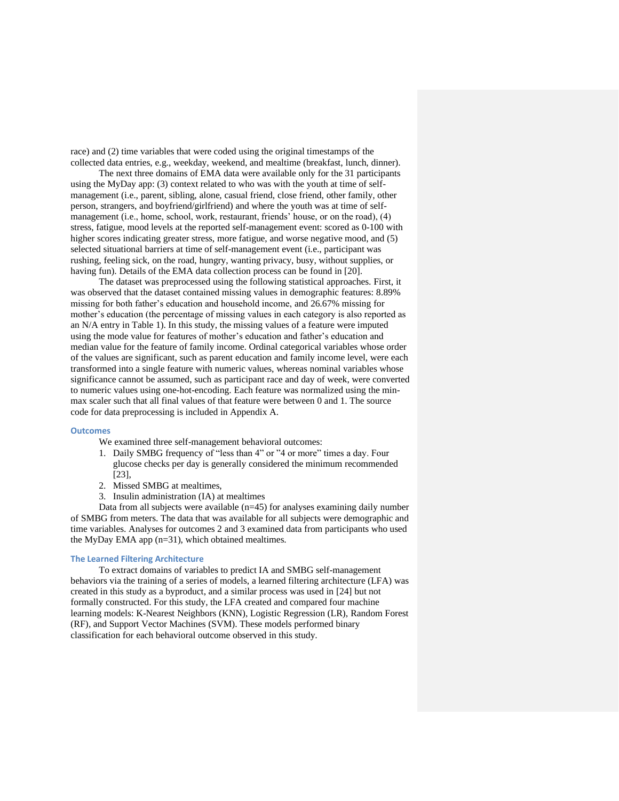race) and (2) time variables that were coded using the original timestamps of the collected data entries, e.g., weekday, weekend, and mealtime (breakfast, lunch, dinner).

The next three domains of EMA data were available only for the 31 participants using the MyDay app: (3) context related to who was with the youth at time of selfmanagement (i.e., parent, sibling, alone, casual friend, close friend, other family, other person, strangers, and boyfriend/girlfriend) and where the youth was at time of selfmanagement (i.e., home, school, work, restaurant, friends' house, or on the road), (4) stress, fatigue, mood levels at the reported self-management event: scored as 0-100 with higher scores indicating greater stress, more fatigue, and worse negative mood, and (5) selected situational barriers at time of self-management event (i.e., participant was rushing, feeling sick, on the road, hungry, wanting privacy, busy, without supplies, or having fun). Details of the EMA data collection process can be found in [20].

The dataset was preprocessed using the following statistical approaches. First, it was observed that the dataset contained missing values in demographic features: 8.89% missing for both father's education and household income, and 26.67% missing for mother's education (the percentage of missing values in each category is also reported as an N/A entry in Table 1). In this study, the missing values of a feature were imputed using the mode value for features of mother's education and father's education and median value for the feature of family income. Ordinal categorical variables whose order of the values are significant, such as parent education and family income level, were each transformed into a single feature with numeric values, whereas nominal variables whose significance cannot be assumed, such as participant race and day of week, were converted to numeric values using one-hot-encoding. Each feature was normalized using the minmax scaler such that all final values of that feature were between 0 and 1. The source code for data preprocessing is included in Appendix A.

## **Outcomes**

We examined three self-management behavioral outcomes:

- 1. Daily SMBG frequency of "less than 4" or "4 or more" times a day. Four glucose checks per day is generally considered the minimum recommended [23],
- 2. Missed SMBG at mealtimes,
- 3. Insulin administration (IA) at mealtimes

Data from all subjects were available (n=45) for analyses examining daily number of SMBG from meters. The data that was available for all subjects were demographic and time variables. Analyses for outcomes 2 and 3 examined data from participants who used the MyDay EMA app (n=31), which obtained mealtimes.

## **The Learned Filtering Architecture**

To extract domains of variables to predict IA and SMBG self-management behaviors via the training of a series of models, a learned filtering architecture (LFA) was created in this study as a byproduct, and a similar process was used in [24] but not formally constructed. For this study, the LFA created and compared four machine learning models: K-Nearest Neighbors (KNN), Logistic Regression (LR), Random Forest (RF), and Support Vector Machines (SVM). These models performed binary classification for each behavioral outcome observed in this study.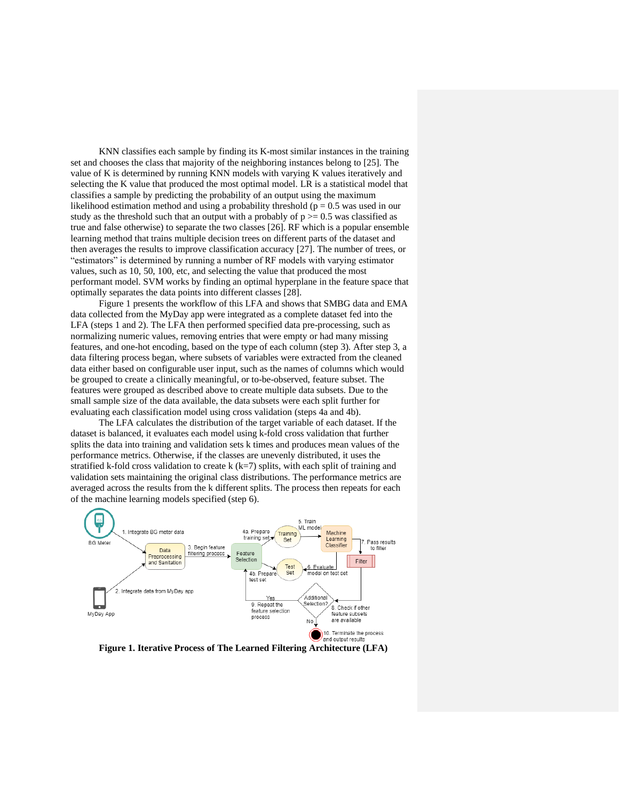KNN classifies each sample by finding its K-most similar instances in the training set and chooses the class that majority of the neighboring instances belong to [25]. The value of K is determined by running KNN models with varying K values iteratively and selecting the K value that produced the most optimal model. LR is a statistical model that classifies a sample by predicting the probability of an output using the maximum likelihood estimation method and using a probability threshold ( $p = 0.5$  was used in our study as the threshold such that an output with a probably of  $p \ge 0.5$  was classified as true and false otherwise) to separate the two classes [26]. RF which is a popular ensemble learning method that trains multiple decision trees on different parts of the dataset and then averages the results to improve classification accuracy [27]. The number of trees, or "estimators" is determined by running a number of RF models with varying estimator values, such as 10, 50, 100, etc, and selecting the value that produced the most performant model. SVM works by finding an optimal hyperplane in the feature space that optimally separates the data points into different classes [28].

Figure 1 presents the workflow of this LFA and shows that SMBG data and EMA data collected from the MyDay app were integrated as a complete dataset fed into the LFA (steps 1 and 2). The LFA then performed specified data pre-processing, such as normalizing numeric values, removing entries that were empty or had many missing features, and one-hot encoding, based on the type of each column (step 3). After step 3, a data filtering process began, where subsets of variables were extracted from the cleaned data either based on configurable user input, such as the names of columns which would be grouped to create a clinically meaningful, or to-be-observed, feature subset. The features were grouped as described above to create multiple data subsets. Due to the small sample size of the data available, the data subsets were each split further for evaluating each classification model using cross validation (steps 4a and 4b).

The LFA calculates the distribution of the target variable of each dataset. If the dataset is balanced, it evaluates each model using k-fold cross validation that further splits the data into training and validation sets k times and produces mean values of the performance metrics. Otherwise, if the classes are unevenly distributed, it uses the stratified k-fold cross validation to create k  $(k=7)$  splits, with each split of training and validation sets maintaining the original class distributions. The performance metrics are averaged across the results from the k different splits. The process then repeats for each of the machine learning models specified (step 6).



**Figure 1. Iterative Process of The Learned Filtering Architecture (LFA)**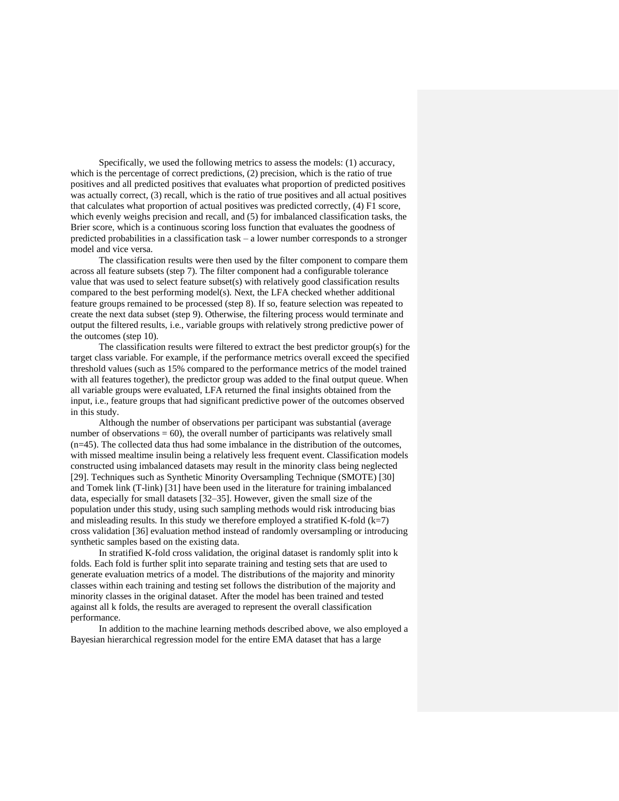Specifically, we used the following metrics to assess the models: (1) accuracy, which is the percentage of correct predictions, (2) precision, which is the ratio of true positives and all predicted positives that evaluates what proportion of predicted positives was actually correct, (3) recall, which is the ratio of true positives and all actual positives that calculates what proportion of actual positives was predicted correctly, (4) F1 score, which evenly weighs precision and recall, and (5) for imbalanced classification tasks, the Brier score, which is a continuous scoring loss function that evaluates the goodness of predicted probabilities in a classification task – a lower number corresponds to a stronger model and vice versa.

The classification results were then used by the filter component to compare them across all feature subsets (step 7). The filter component had a configurable tolerance value that was used to select feature subset(s) with relatively good classification results compared to the best performing model(s). Next, the LFA checked whether additional feature groups remained to be processed (step 8). If so, feature selection was repeated to create the next data subset (step 9). Otherwise, the filtering process would terminate and output the filtered results, i.e., variable groups with relatively strong predictive power of the outcomes (step 10).

The classification results were filtered to extract the best predictor group(s) for the target class variable. For example, if the performance metrics overall exceed the specified threshold values (such as 15% compared to the performance metrics of the model trained with all features together), the predictor group was added to the final output queue. When all variable groups were evaluated, LFA returned the final insights obtained from the input, i.e., feature groups that had significant predictive power of the outcomes observed in this study.

Although the number of observations per participant was substantial (average number of observations  $= 60$ ), the overall number of participants was relatively small (n=45). The collected data thus had some imbalance in the distribution of the outcomes, with missed mealtime insulin being a relatively less frequent event. Classification models constructed using imbalanced datasets may result in the minority class being neglected [29]. Techniques such as Synthetic Minority Oversampling Technique (SMOTE) [30] and Tomek link (T-link) [31] have been used in the literature for training imbalanced data, especially for small datasets [32–35]. However, given the small size of the population under this study, using such sampling methods would risk introducing bias and misleading results. In this study we therefore employed a stratified K-fold  $(k=7)$ cross validation [36] evaluation method instead of randomly oversampling or introducing synthetic samples based on the existing data.

In stratified K-fold cross validation, the original dataset is randomly split into k folds. Each fold is further split into separate training and testing sets that are used to generate evaluation metrics of a model. The distributions of the majority and minority classes within each training and testing set follows the distribution of the majority and minority classes in the original dataset. After the model has been trained and tested against all k folds, the results are averaged to represent the overall classification performance.

In addition to the machine learning methods described above, we also employed a Bayesian hierarchical regression model for the entire EMA dataset that has a large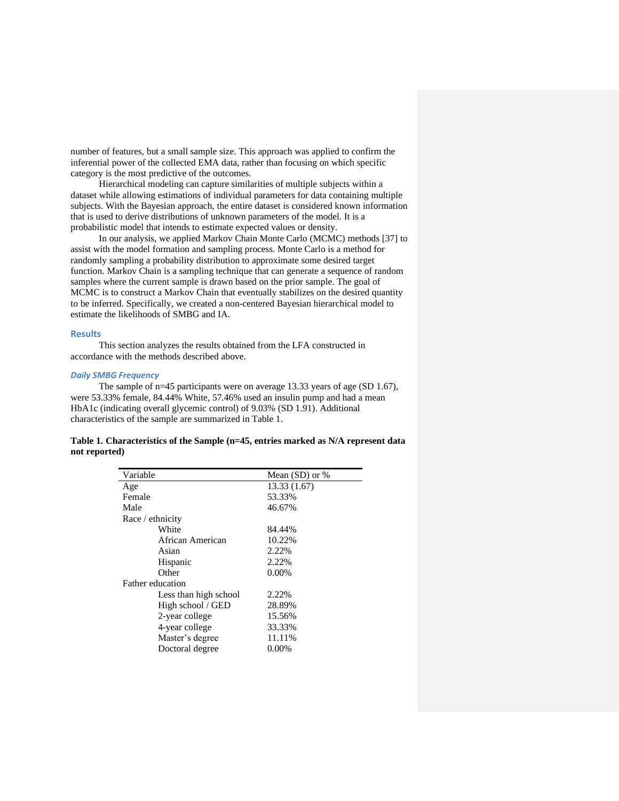number of features, but a small sample size. This approach was applied to confirm the inferential power of the collected EMA data, rather than focusing on which specific category is the most predictive of the outcomes.

Hierarchical modeling can capture similarities of multiple subjects within a dataset while allowing estimations of individual parameters for data containing multiple subjects. With the Bayesian approach, the entire dataset is considered known information that is used to derive distributions of unknown parameters of the model. It is a probabilistic model that intends to estimate expected values or density.

In our analysis, we applied Markov Chain Monte Carlo (MCMC) methods [37] to assist with the model formation and sampling process. Monte Carlo is a method for randomly sampling a probability distribution to approximate some desired target function. Markov Chain is a sampling technique that can generate a sequence of random samples where the current sample is drawn based on the prior sample. The goal of MCMC is to construct a Markov Chain that eventually stabilizes on the desired quantity to be inferred. Specifically, we created a non-centered Bayesian hierarchical model to estimate the likelihoods of SMBG and IA.

#### **Results**

This section analyzes the results obtained from the LFA constructed in accordance with the methods described above.

## *Daily SMBG Frequency*

The sample of n=45 participants were on average 13.33 years of age (SD 1.67), were 53.33% female, 84.44% White, 57.46% used an insulin pump and had a mean HbA1c (indicating overall glycemic control) of 9.03% (SD 1.91). Additional characteristics of the sample are summarized in Table 1.

# **Table 1. Characteristics of the Sample (n=45, entries marked as N/A represent data not reported)**

| Variable                | Mean $(SD)$ or % |
|-------------------------|------------------|
| Age                     | 13.33 (1.67)     |
| Female                  | 53.33%           |
| Male                    | 46.67%           |
| Race / ethnicity        |                  |
| White                   | 84.44%           |
| African American        | 10.22%           |
| Asian                   | 2.22%            |
| Hispanic                | 2.22%            |
| Other                   | $0.00\%$         |
| <b>Father education</b> |                  |
| Less than high school   | 2.22%            |
| High school / GED       | 28.89%           |
| 2-year college          | 15.56%           |
| 4-year college          | 33.33%           |
| Master's degree         | 11.11%           |
| Doctoral degree         | $0.00\%$         |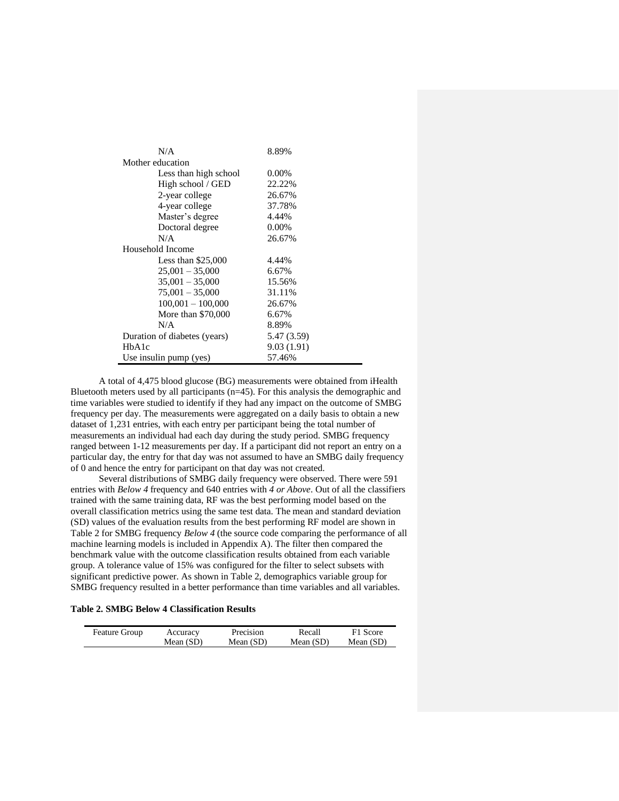| N/A                          | 8.89%       |  |  |  |  |
|------------------------------|-------------|--|--|--|--|
| Mother education             |             |  |  |  |  |
| Less than high school        | 0.00%       |  |  |  |  |
| High school / GED            | 22.22%      |  |  |  |  |
| 2-year college               | 26.67%      |  |  |  |  |
| 4-year college               | 37.78%      |  |  |  |  |
| Master's degree              | 4.44%       |  |  |  |  |
| Doctoral degree              | 0.00%       |  |  |  |  |
| N/A                          | 26.67%      |  |  |  |  |
| Household Income             |             |  |  |  |  |
| Less than $$25,000$          | 4.44%       |  |  |  |  |
| $25,001 - 35,000$            | 6.67%       |  |  |  |  |
| $35,001 - 35,000$            | 15.56%      |  |  |  |  |
| $75,001 - 35,000$            | 31.11%      |  |  |  |  |
| $100,001 - 100,000$          | 26.67%      |  |  |  |  |
| More than \$70,000           | 6.67%       |  |  |  |  |
| N/A                          | 8.89%       |  |  |  |  |
| Duration of diabetes (years) | 5.47 (3.59) |  |  |  |  |
| HbA1c                        | 9.03 (1.91) |  |  |  |  |
| Use insulin pump (yes)       | 57.46%      |  |  |  |  |

A total of 4,475 blood glucose (BG) measurements were obtained from iHealth Bluetooth meters used by all participants  $(n=45)$ . For this analysis the demographic and time variables were studied to identify if they had any impact on the outcome of SMBG frequency per day. The measurements were aggregated on a daily basis to obtain a new dataset of 1,231 entries, with each entry per participant being the total number of measurements an individual had each day during the study period. SMBG frequency ranged between 1-12 measurements per day. If a participant did not report an entry on a particular day, the entry for that day was not assumed to have an SMBG daily frequency of 0 and hence the entry for participant on that day was not created.

Several distributions of SMBG daily frequency were observed. There were 591 entries with *Below 4* frequency and 640 entries with *4 or Above*. Out of all the classifiers trained with the same training data, RF was the best performing model based on the overall classification metrics using the same test data. The mean and standard deviation (SD) values of the evaluation results from the best performing RF model are shown in Table 2 for SMBG frequency *Below 4* (the source code comparing the performance of all machine learning models is included in Appendix A). The filter then compared the benchmark value with the outcome classification results obtained from each variable group. A tolerance value of 15% was configured for the filter to select subsets with significant predictive power. As shown in Table 2, demographics variable group for SMBG frequency resulted in a better performance than time variables and all variables.

# **Table 2. SMBG Below 4 Classification Results**

| <b>Feature Group</b> | Accuracy  | Precision | Recall      | F1 Score    |
|----------------------|-----------|-----------|-------------|-------------|
|                      | Mean (SD) | Mean (SD) | Mean $(SD)$ | Mean $(SD)$ |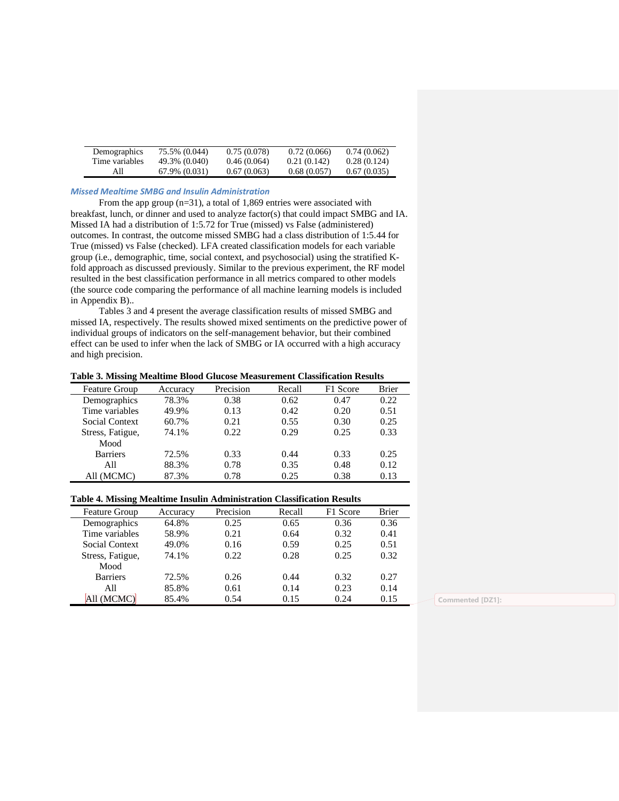| Demographics   | 75.5% (0.044) | 0.75(0.078) | 0.72(0.066) | 0.74(0.062) |
|----------------|---------------|-------------|-------------|-------------|
| Time variables | 49.3% (0.040) | 0.46(0.064) | 0.21(0.142) | 0.28(0.124) |
| AII            | 67.9% (0.031) | 0.67(0.063) | 0.68(0.057) | 0.67(0.035) |

#### *Missed Mealtime SMBG and Insulin Administration*

From the app group  $(n=31)$ , a total of 1,869 entries were associated with breakfast, lunch, or dinner and used to analyze factor(s) that could impact SMBG and IA. Missed IA had a distribution of 1:5.72 for True (missed) vs False (administered) outcomes. In contrast, the outcome missed SMBG had a class distribution of 1:5.44 for True (missed) vs False (checked). LFA created classification models for each variable group (i.e., demographic, time, social context, and psychosocial) using the stratified Kfold approach as discussed previously. Similar to the previous experiment, the RF model resulted in the best classification performance in all metrics compared to other models (the source code comparing the performance of all machine learning models is included in Appendix B)..

Tables 3 and 4 present the average classification results of missed SMBG and missed IA, respectively. The results showed mixed sentiments on the predictive power of individual groups of indicators on the self-management behavior, but their combined effect can be used to infer when the lack of SMBG or IA occurred with a high accuracy and high precision.

#### **Table 3. Missing Mealtime Blood Glucose Measurement Classification Results**

| <b>Feature Group</b> | Accuracy | Precision | Recall | F1 Score | <b>Brier</b> |
|----------------------|----------|-----------|--------|----------|--------------|
| Demographics         | 78.3%    | 0.38      | 0.62   | 0.47     | 0.22         |
| Time variables       | 49.9%    | 0.13      | 0.42   | 0.20     | 0.51         |
| Social Context       | 60.7%    | 0.21      | 0.55   | 0.30     | 0.25         |
| Stress, Fatigue,     | 74.1%    | 0.22      | 0.29   | 0.25     | 0.33         |
| Mood                 |          |           |        |          |              |
| <b>Barriers</b>      | 72.5%    | 0.33      | 0.44   | 0.33     | 0.25         |
| A11                  | 88.3%    | 0.78      | 0.35   | 0.48     | 0.12         |
| All (MCMC)           | 87.3%    | 0.78      | 0.25   | 0.38     | 0.13         |

# **Table 4. Missing Mealtime Insulin Administration Classification Results**

| <b>Feature Group</b> | Accuracy | Precision | Recall | F1 Score | <b>Brier</b> |
|----------------------|----------|-----------|--------|----------|--------------|
| Demographics         | 64.8%    | 0.25      | 0.65   | 0.36     | 0.36         |
| Time variables       | 58.9%    | 0.21      | 0.64   | 0.32     | 0.41         |
| Social Context       | 49.0%    | 0.16      | 0.59   | 0.25     | 0.51         |
| Stress, Fatigue,     | 74.1%    | 0.22      | 0.28   | 0.25     | 0.32         |
| Mood                 |          |           |        |          |              |
| <b>Barriers</b>      | 72.5%    | 0.26      | 0.44   | 0.32     | 0.27         |
| A11                  | 85.8%    | 0.61      | 0.14   | 0.23     | 0.14         |
| All (MCMC)           | 85.4%    | 0.54      | 0.15   | 0.24     | 0.15         |

Commented [DZ1]: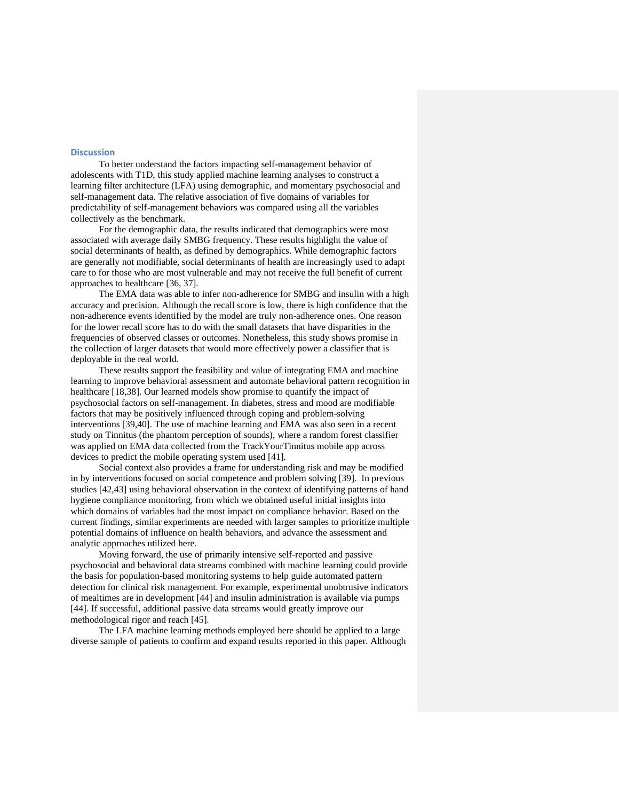## **Discussion**

To better understand the factors impacting self-management behavior of adolescents with T1D, this study applied machine learning analyses to construct a learning filter architecture (LFA) using demographic, and momentary psychosocial and self-management data. The relative association of five domains of variables for predictability of self-management behaviors was compared using all the variables collectively as the benchmark.

For the demographic data, the results indicated that demographics were most associated with average daily SMBG frequency. These results highlight the value of social determinants of health, as defined by demographics. While demographic factors are generally not modifiable, social determinants of health are increasingly used to adapt care to for those who are most vulnerable and may not receive the full benefit of current approaches to healthcare [36, 37].

The EMA data was able to infer non-adherence for SMBG and insulin with a high accuracy and precision. Although the recall score is low, there is high confidence that the non-adherence events identified by the model are truly non-adherence ones. One reason for the lower recall score has to do with the small datasets that have disparities in the frequencies of observed classes or outcomes. Nonetheless, this study shows promise in the collection of larger datasets that would more effectively power a classifier that is deployable in the real world.

These results support the feasibility and value of integrating EMA and machine learning to improve behavioral assessment and automate behavioral pattern recognition in healthcare [18,38]. Our learned models show promise to quantify the impact of psychosocial factors on self-management. In diabetes, stress and mood are modifiable factors that may be positively influenced through coping and problem-solving interventions [39,40]. The use of machine learning and EMA was also seen in a recent study on Tinnitus (the phantom perception of sounds), where a random forest classifier was applied on EMA data collected from the TrackYourTinnitus mobile app across devices to predict the mobile operating system used [41].

Social context also provides a frame for understanding risk and may be modified in by interventions focused on social competence and problem solving [39]. In previous studies [42,43] using behavioral observation in the context of identifying patterns of hand hygiene compliance monitoring, from which we obtained useful initial insights into which domains of variables had the most impact on compliance behavior. Based on the current findings, similar experiments are needed with larger samples to prioritize multiple potential domains of influence on health behaviors, and advance the assessment and analytic approaches utilized here.

Moving forward, the use of primarily intensive self-reported and passive psychosocial and behavioral data streams combined with machine learning could provide the basis for population-based monitoring systems to help guide automated pattern detection for clinical risk management. For example, experimental unobtrusive indicators of mealtimes are in development [44] and insulin administration is available via pumps [44]. If successful, additional passive data streams would greatly improve our methodological rigor and reach [45].

The LFA machine learning methods employed here should be applied to a large diverse sample of patients to confirm and expand results reported in this paper. Although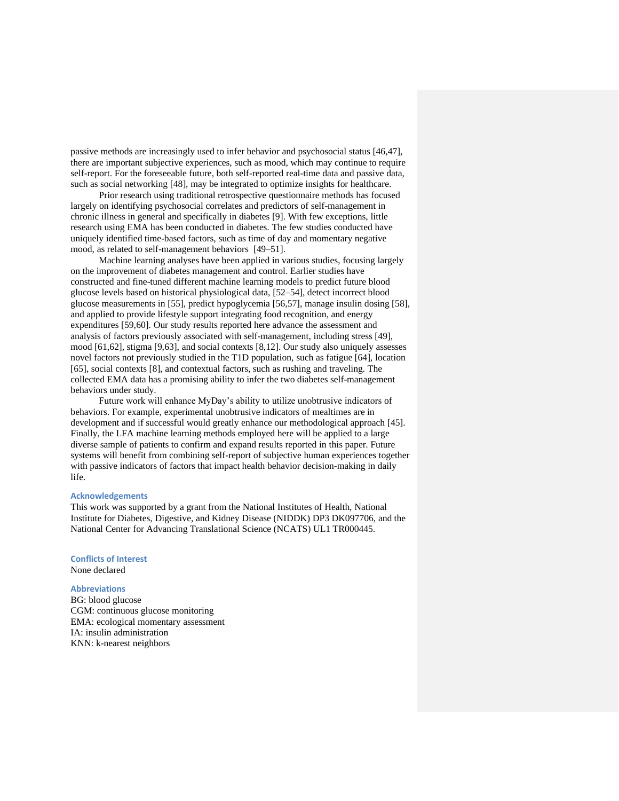passive methods are increasingly used to infer behavior and psychosocial status [46,47], there are important subjective experiences, such as mood, which may continue to require self-report. For the foreseeable future, both self-reported real-time data and passive data, such as social networking [48], may be integrated to optimize insights for healthcare.

Prior research using traditional retrospective questionnaire methods has focused largely on identifying psychosocial correlates and predictors of self-management in chronic illness in general and specifically in diabetes [9]. With few exceptions, little research using EMA has been conducted in diabetes. The few studies conducted have uniquely identified time-based factors, such as time of day and momentary negative mood, as related to self-management behaviors [49–51].

Machine learning analyses have been applied in various studies, focusing largely on the improvement of diabetes management and control. Earlier studies have constructed and fine-tuned different machine learning models to predict future blood glucose levels based on historical physiological data, [52–54], detect incorrect blood glucose measurements in [55], predict hypoglycemia [56,57], manage insulin dosing [58], and applied to provide lifestyle support integrating food recognition, and energy expenditures [59,60]. Our study results reported here advance the assessment and analysis of factors previously associated with self-management, including stress [49], mood [61,62], stigma [9,63], and social contexts [8,12]. Our study also uniquely assesses novel factors not previously studied in the T1D population, such as fatigue [64], location [65], social contexts [8], and contextual factors, such as rushing and traveling. The collected EMA data has a promising ability to infer the two diabetes self-management behaviors under study.

Future work will enhance MyDay's ability to utilize unobtrusive indicators of behaviors. For example, experimental unobtrusive indicators of mealtimes are in development and if successful would greatly enhance our methodological approach [45]. Finally, the LFA machine learning methods employed here will be applied to a large diverse sample of patients to confirm and expand results reported in this paper. Future systems will benefit from combining self-report of subjective human experiences together with passive indicators of factors that impact health behavior decision-making in daily life.

## **Acknowledgements**

This work was supported by a grant from the National Institutes of Health, National Institute for Diabetes, Digestive, and Kidney Disease (NIDDK) DP3 DK097706, and the National Center for Advancing Translational Science (NCATS) UL1 TR000445.

# **Conflicts of Interest**

None declared

## **Abbreviations**

BG: blood glucose CGM: continuous glucose monitoring EMA: ecological momentary assessment IA: insulin administration KNN: k-nearest neighbors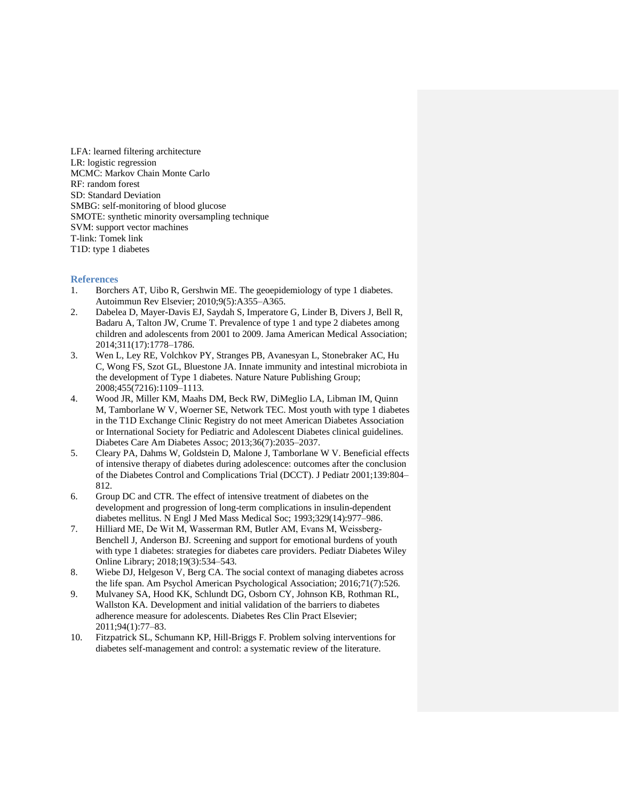LFA: learned filtering architecture LR: logistic regression MCMC: Markov Chain Monte Carlo RF: random forest SD: Standard Deviation SMBG: self-monitoring of blood glucose SMOTE: synthetic minority oversampling technique SVM: support vector machines T-link: Tomek link T1D: type 1 diabetes

## **References**

- 1. Borchers AT, Uibo R, Gershwin ME. The geoepidemiology of type 1 diabetes. Autoimmun Rev Elsevier; 2010;9(5):A355–A365.
- 2. Dabelea D, Mayer-Davis EJ, Saydah S, Imperatore G, Linder B, Divers J, Bell R, Badaru A, Talton JW, Crume T. Prevalence of type 1 and type 2 diabetes among children and adolescents from 2001 to 2009. Jama American Medical Association; 2014;311(17):1778–1786.
- 3. Wen L, Ley RE, Volchkov PY, Stranges PB, Avanesyan L, Stonebraker AC, Hu C, Wong FS, Szot GL, Bluestone JA. Innate immunity and intestinal microbiota in the development of Type 1 diabetes. Nature Nature Publishing Group; 2008;455(7216):1109–1113.
- 4. Wood JR, Miller KM, Maahs DM, Beck RW, DiMeglio LA, Libman IM, Quinn M, Tamborlane W V, Woerner SE, Network TEC. Most youth with type 1 diabetes in the T1D Exchange Clinic Registry do not meet American Diabetes Association or International Society for Pediatric and Adolescent Diabetes clinical guidelines. Diabetes Care Am Diabetes Assoc; 2013;36(7):2035–2037.
- 5. Cleary PA, Dahms W, Goldstein D, Malone J, Tamborlane W V. Beneficial effects of intensive therapy of diabetes during adolescence: outcomes after the conclusion of the Diabetes Control and Complications Trial (DCCT). J Pediatr 2001;139:804– 812.
- 6. Group DC and CTR. The effect of intensive treatment of diabetes on the development and progression of long-term complications in insulin-dependent diabetes mellitus. N Engl J Med Mass Medical Soc; 1993;329(14):977–986.
- 7. Hilliard ME, De Wit M, Wasserman RM, Butler AM, Evans M, Weissberg‐ Benchell J, Anderson BJ. Screening and support for emotional burdens of youth with type 1 diabetes: strategies for diabetes care providers. Pediatr Diabetes Wiley Online Library; 2018;19(3):534–543.
- 8. Wiebe DJ, Helgeson V, Berg CA. The social context of managing diabetes across the life span. Am Psychol American Psychological Association; 2016;71(7):526.
- 9. Mulvaney SA, Hood KK, Schlundt DG, Osborn CY, Johnson KB, Rothman RL, Wallston KA. Development and initial validation of the barriers to diabetes adherence measure for adolescents. Diabetes Res Clin Pract Elsevier; 2011;94(1):77–83.
- 10. Fitzpatrick SL, Schumann KP, Hill-Briggs F. Problem solving interventions for diabetes self-management and control: a systematic review of the literature.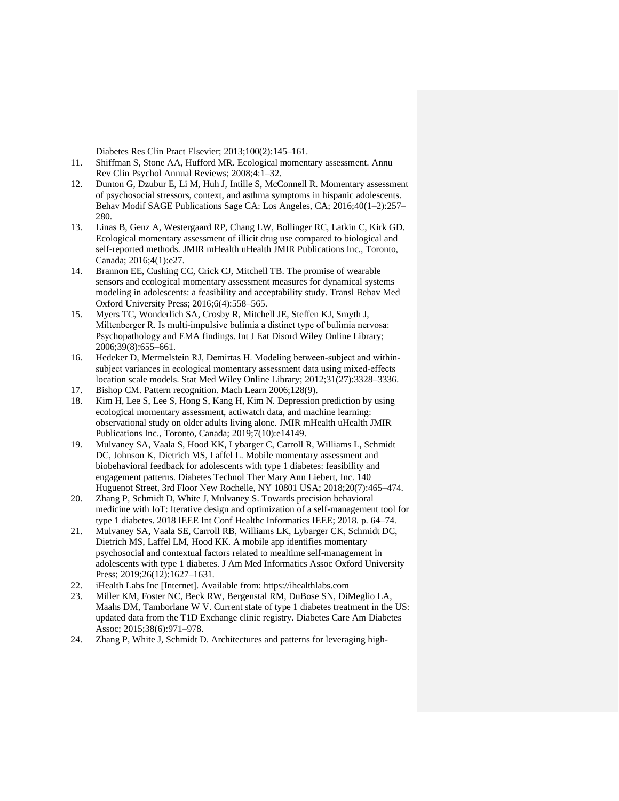Diabetes Res Clin Pract Elsevier; 2013;100(2):145–161.

- 11. Shiffman S, Stone AA, Hufford MR. Ecological momentary assessment. Annu Rev Clin Psychol Annual Reviews; 2008;4:1–32.
- 12. Dunton G, Dzubur E, Li M, Huh J, Intille S, McConnell R. Momentary assessment of psychosocial stressors, context, and asthma symptoms in hispanic adolescents. Behav Modif SAGE Publications Sage CA: Los Angeles, CA; 2016;40(1–2):257– 280.
- 13. Linas B, Genz A, Westergaard RP, Chang LW, Bollinger RC, Latkin C, Kirk GD. Ecological momentary assessment of illicit drug use compared to biological and self-reported methods. JMIR mHealth uHealth JMIR Publications Inc., Toronto, Canada; 2016;4(1):e27.
- 14. Brannon EE, Cushing CC, Crick CJ, Mitchell TB. The promise of wearable sensors and ecological momentary assessment measures for dynamical systems modeling in adolescents: a feasibility and acceptability study. Transl Behav Med Oxford University Press; 2016;6(4):558–565.
- 15. Myers TC, Wonderlich SA, Crosby R, Mitchell JE, Steffen KJ, Smyth J, Miltenberger R. Is multi-impulsive bulimia a distinct type of bulimia nervosa: Psychopathology and EMA findings. Int J Eat Disord Wiley Online Library; 2006;39(8):655–661.
- 16. Hedeker D, Mermelstein RJ, Demirtas H. Modeling between‐subject and within‐ subject variances in ecological momentary assessment data using mixed‐effects location scale models. Stat Med Wiley Online Library; 2012;31(27):3328–3336.
- 17. Bishop CM. Pattern recognition. Mach Learn 2006;128(9).
- 18. Kim H, Lee S, Lee S, Hong S, Kang H, Kim N. Depression prediction by using ecological momentary assessment, actiwatch data, and machine learning: observational study on older adults living alone. JMIR mHealth uHealth JMIR Publications Inc., Toronto, Canada; 2019;7(10):e14149.
- 19. Mulvaney SA, Vaala S, Hood KK, Lybarger C, Carroll R, Williams L, Schmidt DC, Johnson K, Dietrich MS, Laffel L. Mobile momentary assessment and biobehavioral feedback for adolescents with type 1 diabetes: feasibility and engagement patterns. Diabetes Technol Ther Mary Ann Liebert, Inc. 140 Huguenot Street, 3rd Floor New Rochelle, NY 10801 USA; 2018;20(7):465–474.
- 20. Zhang P, Schmidt D, White J, Mulvaney S. Towards precision behavioral medicine with IoT: Iterative design and optimization of a self-management tool for type 1 diabetes. 2018 IEEE Int Conf Healthc Informatics IEEE; 2018. p. 64–74.
- 21. Mulvaney SA, Vaala SE, Carroll RB, Williams LK, Lybarger CK, Schmidt DC, Dietrich MS, Laffel LM, Hood KK. A mobile app identifies momentary psychosocial and contextual factors related to mealtime self-management in adolescents with type 1 diabetes. J Am Med Informatics Assoc Oxford University Press; 2019;26(12):1627-1631.
- 22. iHealth Labs Inc [Internet]. Available from: https://ihealthlabs.com
- 23. Miller KM, Foster NC, Beck RW, Bergenstal RM, DuBose SN, DiMeglio LA, Maahs DM, Tamborlane W V. Current state of type 1 diabetes treatment in the US: updated data from the T1D Exchange clinic registry. Diabetes Care Am Diabetes Assoc; 2015;38(6):971–978.
- 24. Zhang P, White J, Schmidt D. Architectures and patterns for leveraging high-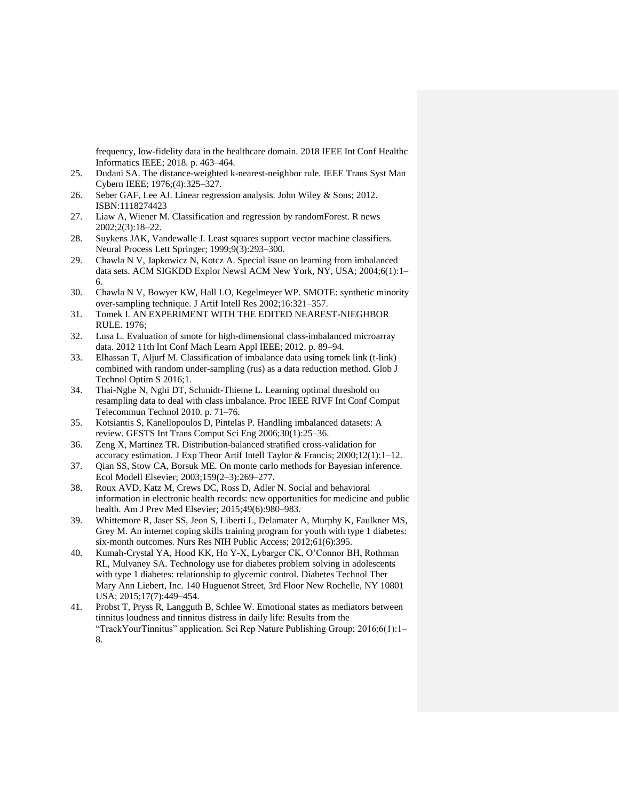frequency, low-fidelity data in the healthcare domain. 2018 IEEE Int Conf Healthc Informatics IEEE; 2018. p. 463–464.

- 25. Dudani SA. The distance-weighted k-nearest-neighbor rule. IEEE Trans Syst Man Cybern IEEE; 1976;(4):325–327.
- 26. Seber GAF, Lee AJ. Linear regression analysis. John Wiley & Sons; 2012. ISBN:1118274423
- 27. Liaw A, Wiener M. Classification and regression by randomForest. R news 2002;2(3):18–22.
- 28. Suykens JAK, Vandewalle J. Least squares support vector machine classifiers. Neural Process Lett Springer; 1999;9(3):293–300.
- 29. Chawla N V, Japkowicz N, Kotcz A. Special issue on learning from imbalanced data sets. ACM SIGKDD Explor Newsl ACM New York, NY, USA; 2004;6(1):1– 6.
- 30. Chawla N V, Bowyer KW, Hall LO, Kegelmeyer WP. SMOTE: synthetic minority over-sampling technique. J Artif Intell Res 2002;16:321–357.
- 31. Tomek I. AN EXPERIMENT WITH THE EDITED NEAREST-NIEGHBOR RULE. 1976;
- 32. Lusa L. Evaluation of smote for high-dimensional class-imbalanced microarray data. 2012 11th Int Conf Mach Learn Appl IEEE; 2012. p. 89–94.
- 33. Elhassan T, Aljurf M. Classification of imbalance data using tomek link (t-link) combined with random under-sampling (rus) as a data reduction method. Glob J Technol Optim S 2016;1.
- 34. Thai-Nghe N, Nghi DT, Schmidt-Thieme L. Learning optimal threshold on resampling data to deal with class imbalance. Proc IEEE RIVF Int Conf Comput Telecommun Technol 2010. p. 71–76.
- 35. Kotsiantis S, Kanellopoulos D, Pintelas P. Handling imbalanced datasets: A review. GESTS Int Trans Comput Sci Eng 2006;30(1):25–36.
- 36. Zeng X, Martinez TR. Distribution-balanced stratified cross-validation for accuracy estimation. J Exp Theor Artif Intell Taylor & Francis; 2000;12(1):1–12.
- 37. Qian SS, Stow CA, Borsuk ME. On monte carlo methods for Bayesian inference. Ecol Modell Elsevier; 2003;159(2–3):269–277.
- 38. Roux AVD, Katz M, Crews DC, Ross D, Adler N. Social and behavioral information in electronic health records: new opportunities for medicine and public health. Am J Prev Med Elsevier; 2015;49(6):980–983.
- 39. Whittemore R, Jaser SS, Jeon S, Liberti L, Delamater A, Murphy K, Faulkner MS, Grey M. An internet coping skills training program for youth with type 1 diabetes: six-month outcomes. Nurs Res NIH Public Access; 2012;61(6):395.
- 40. Kumah-Crystal YA, Hood KK, Ho Y-X, Lybarger CK, O'Connor BH, Rothman RL, Mulvaney SA. Technology use for diabetes problem solving in adolescents with type 1 diabetes: relationship to glycemic control. Diabetes Technol Ther Mary Ann Liebert, Inc. 140 Huguenot Street, 3rd Floor New Rochelle, NY 10801 USA; 2015;17(7):449–454.
- 41. Probst T, Pryss R, Langguth B, Schlee W. Emotional states as mediators between tinnitus loudness and tinnitus distress in daily life: Results from the "TrackYourTinnitus" application. Sci Rep Nature Publishing Group; 2016;6(1):1– 8.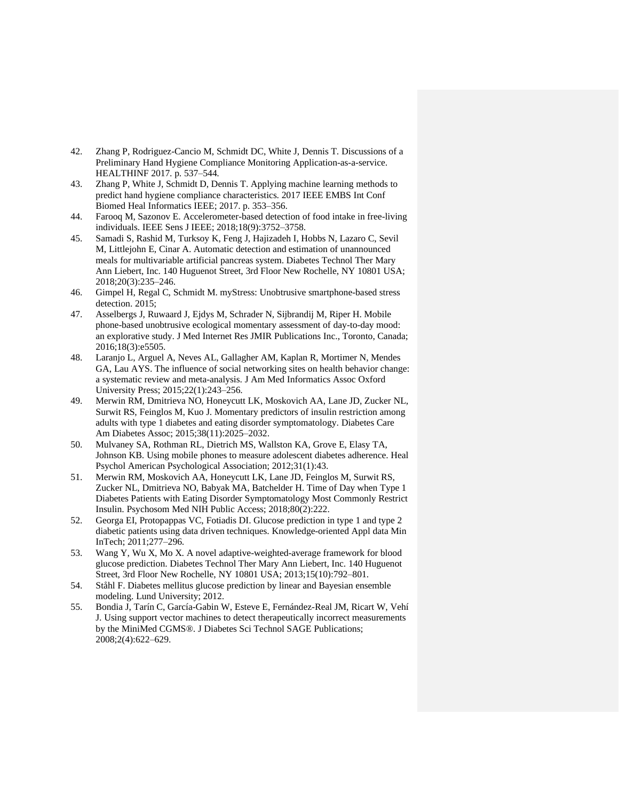- 42. Zhang P, Rodriguez-Cancio M, Schmidt DC, White J, Dennis T. Discussions of a Preliminary Hand Hygiene Compliance Monitoring Application-as-a-service. HEALTHINF 2017. p. 537–544.
- 43. Zhang P, White J, Schmidt D, Dennis T. Applying machine learning methods to predict hand hygiene compliance characteristics. 2017 IEEE EMBS Int Conf Biomed Heal Informatics IEEE; 2017. p. 353–356.
- 44. Farooq M, Sazonov E. Accelerometer-based detection of food intake in free-living individuals. IEEE Sens J IEEE; 2018;18(9):3752–3758.
- 45. Samadi S, Rashid M, Turksoy K, Feng J, Hajizadeh I, Hobbs N, Lazaro C, Sevil M, Littlejohn E, Cinar A. Automatic detection and estimation of unannounced meals for multivariable artificial pancreas system. Diabetes Technol Ther Mary Ann Liebert, Inc. 140 Huguenot Street, 3rd Floor New Rochelle, NY 10801 USA; 2018;20(3):235–246.
- 46. Gimpel H, Regal C, Schmidt M. myStress: Unobtrusive smartphone-based stress detection. 2015;
- 47. Asselbergs J, Ruwaard J, Ejdys M, Schrader N, Sijbrandij M, Riper H. Mobile phone-based unobtrusive ecological momentary assessment of day-to-day mood: an explorative study. J Med Internet Res JMIR Publications Inc., Toronto, Canada; 2016;18(3):e5505.
- 48. Laranjo L, Arguel A, Neves AL, Gallagher AM, Kaplan R, Mortimer N, Mendes GA, Lau AYS. The influence of social networking sites on health behavior change: a systematic review and meta-analysis. J Am Med Informatics Assoc Oxford University Press; 2015;22(1):243–256.
- 49. Merwin RM, Dmitrieva NO, Honeycutt LK, Moskovich AA, Lane JD, Zucker NL, Surwit RS, Feinglos M, Kuo J. Momentary predictors of insulin restriction among adults with type 1 diabetes and eating disorder symptomatology. Diabetes Care Am Diabetes Assoc; 2015;38(11):2025–2032.
- 50. Mulvaney SA, Rothman RL, Dietrich MS, Wallston KA, Grove E, Elasy TA, Johnson KB. Using mobile phones to measure adolescent diabetes adherence. Heal Psychol American Psychological Association; 2012;31(1):43.
- 51. Merwin RM, Moskovich AA, Honeycutt LK, Lane JD, Feinglos M, Surwit RS, Zucker NL, Dmitrieva NO, Babyak MA, Batchelder H. Time of Day when Type 1 Diabetes Patients with Eating Disorder Symptomatology Most Commonly Restrict Insulin. Psychosom Med NIH Public Access; 2018;80(2):222.
- 52. Georga EI, Protopappas VC, Fotiadis DI. Glucose prediction in type 1 and type 2 diabetic patients using data driven techniques. Knowledge-oriented Appl data Min InTech; 2011;277–296.
- 53. Wang Y, Wu X, Mo X. A novel adaptive-weighted-average framework for blood glucose prediction. Diabetes Technol Ther Mary Ann Liebert, Inc. 140 Huguenot Street, 3rd Floor New Rochelle, NY 10801 USA; 2013;15(10):792–801.
- 54. Ståhl F. Diabetes mellitus glucose prediction by linear and Bayesian ensemble modeling. Lund University; 2012.
- 55. Bondia J, Tarín C, García-Gabin W, Esteve E, Fernández-Real JM, Ricart W, Vehí J. Using support vector machines to detect therapeutically incorrect measurements by the MiniMed CGMS®. J Diabetes Sci Technol SAGE Publications; 2008;2(4):622–629.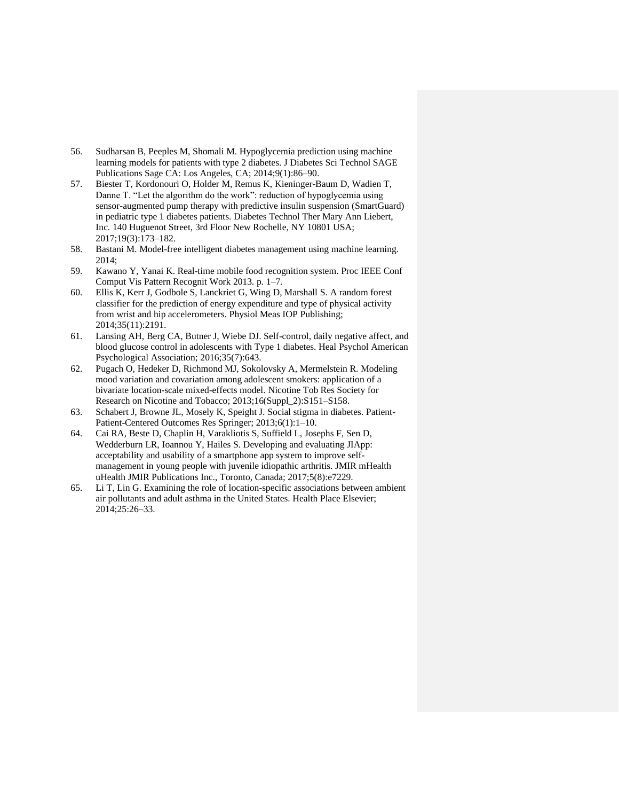- 56. Sudharsan B, Peeples M, Shomali M. Hypoglycemia prediction using machine learning models for patients with type 2 diabetes. J Diabetes Sci Technol SAGE Publications Sage CA: Los Angeles, CA; 2014;9(1):86–90.
- 57. Biester T, Kordonouri O, Holder M, Remus K, Kieninger-Baum D, Wadien T, Danne T. "Let the algorithm do the work": reduction of hypoglycemia using sensor-augmented pump therapy with predictive insulin suspension (SmartGuard) in pediatric type 1 diabetes patients. Diabetes Technol Ther Mary Ann Liebert, Inc. 140 Huguenot Street, 3rd Floor New Rochelle, NY 10801 USA; 2017;19(3):173–182.
- 58. Bastani M. Model-free intelligent diabetes management using machine learning. 2014;
- 59. Kawano Y, Yanai K. Real-time mobile food recognition system. Proc IEEE Conf Comput Vis Pattern Recognit Work 2013. p. 1–7.
- 60. Ellis K, Kerr J, Godbole S, Lanckriet G, Wing D, Marshall S. A random forest classifier for the prediction of energy expenditure and type of physical activity from wrist and hip accelerometers. Physiol Meas IOP Publishing; 2014;35(11):2191.
- 61. Lansing AH, Berg CA, Butner J, Wiebe DJ. Self-control, daily negative affect, and blood glucose control in adolescents with Type 1 diabetes. Heal Psychol American Psychological Association; 2016;35(7):643.
- 62. Pugach O, Hedeker D, Richmond MJ, Sokolovsky A, Mermelstein R. Modeling mood variation and covariation among adolescent smokers: application of a bivariate location-scale mixed-effects model. Nicotine Tob Res Society for Research on Nicotine and Tobacco; 2013;16(Suppl\_2):S151–S158.
- 63. Schabert J, Browne JL, Mosely K, Speight J. Social stigma in diabetes. Patient-Patient-Centered Outcomes Res Springer; 2013;6(1):1–10.
- 64. Cai RA, Beste D, Chaplin H, Varakliotis S, Suffield L, Josephs F, Sen D, Wedderburn LR, Ioannou Y, Hailes S. Developing and evaluating JIApp: acceptability and usability of a smartphone app system to improve selfmanagement in young people with juvenile idiopathic arthritis. JMIR mHealth uHealth JMIR Publications Inc., Toronto, Canada; 2017;5(8):e7229.
- 65. Li T, Lin G. Examining the role of location-specific associations between ambient air pollutants and adult asthma in the United States. Health Place Elsevier; 2014;25:26–33.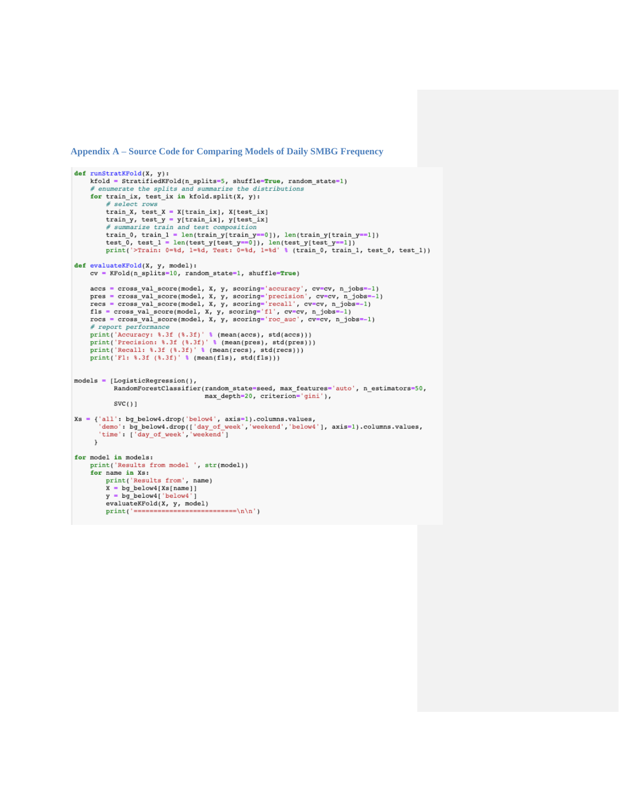**Appendix A – Source Code for Comparing Models of Daily SMBG Frequency**

```
def runStratKFold(X, y):
    kfold = StratifiedKFold(n_splits=5, shuffle=True, random_state=1)
     # enumerate the splits and summarize the distributions
     for train_ix, test_ix in kfold.split(X, y):
          # select rows
          train X, test_X = X[train_ix], X[test_ix]
         train y, test y = y[train ix], y[test ix]
          # summarize train and test composition
          train_0, train_1 = len(train_y[train_y == 0]), len(train_y[train_y == 1])
          test_0, test_1 = len(test_y[test_y==0]), len(test_y[test_y==1])
          print('>Train: 0=%d, 1=%d, Test: 0=%d, 1=%d' % (train_0, train_1, test_0, test_1))
def evaluateKFold(X, y, model):<br>
cv = Kfold(n\_splits=10, random\_state=1, shuffle=True)accs = cross_val_score(model, X, y, scoring='accuracy', cv=cv, n_jobs=-1)pres = cross_val_score(model, X, y, scoring='precision', cv=cv, n_jobs=-1)<br>recs = cross_val_score(model, X, y, scoring='recall', cv=cv, n_jobs=-1)<br>recs = cross_val_score(model, X, y, scoring='recall', cv=cv, n_jobs=-1)<br>f1s
    rocs = cross_val_score(model, X, y, scoring='roc_auc', cv=cv, n_jobs=-1)
     # report performance
    print('Accuracy: %.3f (%.3f)' % (mean(accs), std(accs)))<br>print('Precision: %.3f (%.3f)' % (mean(pres), std(pres)))
    print('Recall: 8.3f(8.3f)' 8 (mean(res), std(res)))print('F1: %.3f (*.3f)' % (mean(f1s), std(f1s)))models = [LogisticRegression(),RandomForestClassifier(random state=seed, max features='auto', n estimators=50,
                                        max_depth=20, criterion='gini'),
            SVC(1)xs = {'all': bg_below4.drop('below4', axis=1).columns.values,<br>'demo': bg_below4.drop([ 'day_of-week', 'weekend', 'below4'], axis=1).columns.values,'time': ['day_of_week','weekend']
      J.
for model in models:
    print('Results from model ', str(model))
     for name in Xs:
         print('Results from', name)
          X = bg_below4[Xs[name]]y = bg_below4['below4']evaluateKFold(X, y, model)
                              ----------------\n\n')
         print(' == == == ==
```